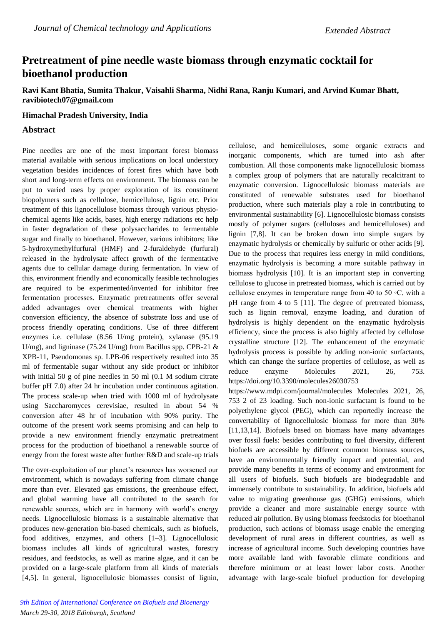# **Pretreatment of pine needle waste biomass through enzymatic cocktail for bioethanol production**

**Ravi Kant Bhatia, Sumita Thakur, Vaisahli Sharma, Nidhi Rana, Ranju Kumari, and Arvind Kumar Bhatt, [ravibiotech07@gmail.com](mailto:ravibiotech07@gmail.com)**

#### **Himachal Pradesh University, India**

### **Abstract**

Pine needles are one of the most important forest biomass material available with serious implications on local understory vegetation besides incidences of forest fires which have both short and long-term effects on environment. The biomass can be put to varied uses by proper exploration of its constituent biopolymers such as cellulose, hemicellulose, lignin etc. Prior treatment of this lignocellulose biomass through various physiochemical agents like acids, bases, high energy radiations etc help in faster degradation of these polysaccharides to fermentable sugar and finally to bioethanol. However, various inhibitors; like 5-hydroxymethylfurfural (HMF) and 2-furaldehyde (furfural) released in the hydrolysate affect growth of the fermentative agents due to cellular damage during fermentation. In view of this, environment friendly and economically feasible technologies are required to be experimented/invented for inhibitor free fermentation processes. Enzymatic pretreatments offer several added advantages over chemical treatments with higher conversion efficiency, the absence of substrate loss and use of process friendly operating conditions. Use of three different enzymes i.e. cellulase (8.56 U/mg protein), xylanase (95.19 U/mg), and ligninase (75.24 U/mg) from Bacillus spp. CPB-21  $\&$ XPB-11, Pseudomonas sp. LPB-06 respectively resulted into 35 ml of fermentable sugar without any side product or inhibitor with initial 50 g of pine needles in 50 ml (0.1 M sodium citrate buffer pH 7.0) after 24 hr incubation under continuous agitation. The process scale-up when tried with 1000 ml of hydrolysate using Saccharomyces cerevisiae, resulted in about 54 % conversion after 48 hr of incubation with 90% purity. The outcome of the present work seems promising and can help to provide a new environment friendly enzymatic pretreatment process for the production of bioethanol a renewable source of energy from the forest waste after further R&D and scale-up trials

The over-exploitation of our planet's resources has worsened our environment, which is nowadays suffering from climate change more than ever. Elevated gas emissions, the greenhouse effect, and global warming have all contributed to the search for renewable sources, which are in harmony with world's energy needs. Lignocellulosic biomass is a sustainable alternative that produces new-generation bio-based chemicals, such as biofuels, food additives, enzymes, and others [1–3]. Lignocellulosic biomass includes all kinds of agricultural wastes, forestry residues, and feedstocks, as well as marine algae, and it can be provided on a large-scale platform from all kinds of materials [4,5]. In general, lignocellulosic biomasses consist of lignin, cellulose, and hemicelluloses, some organic extracts and inorganic components, which are turned into ash after combustion. All those components make lignocellulosic biomass a complex group of polymers that are naturally recalcitrant to enzymatic conversion. Lignocellulosic biomass materials are constituted of renewable substrates used for bioethanol production, where such materials play a role in contributing to environmental sustainability [6]. Lignocellulosic biomass consists mostly of polymer sugars (celluloses and hemicelluloses) and lignin [7,8]. It can be broken down into simple sugars by enzymatic hydrolysis or chemically by sulfuric or other acids [9]. Due to the process that requires less energy in mild conditions, enzymatic hydrolysis is becoming a more suitable pathway in biomass hydrolysis [10]. It is an important step in converting cellulose to glucose in pretreated biomass, which is carried out by cellulose enzymes in temperature range from 40 to 50 ◦C, with a pH range from 4 to 5 [11]. The degree of pretreated biomass, such as lignin removal, enzyme loading, and duration of hydrolysis is highly dependent on the enzymatic hydrolysis efficiency, since the process is also highly affected by cellulose crystalline structure [12]. The enhancement of the enzymatic hydrolysis process is possible by adding non-ionic surfactants, which can change the surface properties of cellulose, as well as reduce enzyme Molecules 2021, 26, 753. https://doi.org/10.3390/molecules26030753

https://www.mdpi.com/journal/molecules Molecules 2021, 26, 753 2 of 23 loading. Such non-ionic surfactant is found to be polyethylene glycol (PEG), which can reportedly increase the convertability of lignocellulosic biomass for more than 30% [11,13,14]. Biofuels based on biomass have many advantages over fossil fuels: besides contributing to fuel diversity, different biofuels are accessible by different common biomass sources, have an environmentally friendly impact and potential, and provide many benefits in terms of economy and environment for all users of biofuels. Such biofuels are biodegradable and immensely contribute to sustainability. In addition, biofuels add value to migrating greenhouse gas (GHG) emissions, which provide a cleaner and more sustainable energy source with reduced air pollution. By using biomass feedstocks for bioethanol production, such actions of biomass usage enable the emerging development of rural areas in different countries, as well as increase of agricultural income. Such developing countries have more available land with favorable climate conditions and therefore minimum or at least lower labor costs. Another advantage with large-scale biofuel production for developing